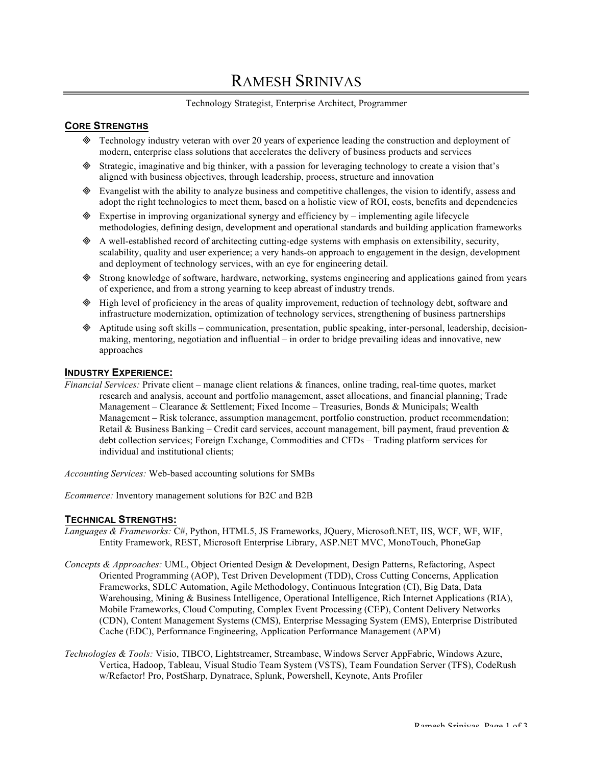# RAMESH SRINIVAS

## Technology Strategist, Enterprise Architect, Programmer

# **CORE STRENGTHS**

- ³ Technology industry veteran with over 20 years of experience leading the construction and deployment of modern, enterprise class solutions that accelerates the delivery of business products and services
- ³ Strategic, imaginative and big thinker, with a passion for leveraging technology to create a vision that's aligned with business objectives, through leadership, process, structure and innovation
- $\&$  Evangelist with the ability to analyze business and competitive challenges, the vision to identify, assess and adopt the right technologies to meet them, based on a holistic view of ROI, costs, benefits and dependencies
- $\otimes$  Expertise in improving organizational synergy and efficiency by implementing agile lifecycle methodologies, defining design, development and operational standards and building application frameworks
- $\otimes$  A well-established record of architecting cutting-edge systems with emphasis on extensibility, security, scalability, quality and user experience; a very hands-on approach to engagement in the design, development and deployment of technology services, with an eye for engineering detail.
- ³ Strong knowledge of software, hardware, networking, systems engineering and applications gained from years of experience, and from a strong yearning to keep abreast of industry trends.
- ³ High level of proficiency in the areas of quality improvement, reduction of technology debt, software and infrastructure modernization, optimization of technology services, strengthening of business partnerships
- ³ Aptitude using soft skills communication, presentation, public speaking, inter-personal, leadership, decisionmaking, mentoring, negotiation and influential – in order to bridge prevailing ideas and innovative, new approaches

## **INDUSTRY EXPERIENCE:**

*Financial Services:* Private client – manage client relations & finances, online trading, real-time quotes, market research and analysis, account and portfolio management, asset allocations, and financial planning; Trade Management – Clearance & Settlement; Fixed Income – Treasuries, Bonds & Municipals; Wealth Management – Risk tolerance, assumption management, portfolio construction, product recommendation; Retail & Business Banking – Credit card services, account management, bill payment, fraud prevention  $\&$ debt collection services; Foreign Exchange, Commodities and CFDs – Trading platform services for individual and institutional clients;

*Accounting Services:* Web-based accounting solutions for SMBs

*Ecommerce:* Inventory management solutions for B2C and B2B

## **TECHNICAL STRENGTHS:**

- *Languages & Frameworks:* C#, Python, HTML5, JS Frameworks, JQuery, Microsoft.NET, IIS, WCF, WF, WIF, Entity Framework, REST, Microsoft Enterprise Library, ASP.NET MVC, MonoTouch, PhoneGap
- *Concepts & Approaches:* UML, Object Oriented Design & Development, Design Patterns, Refactoring, Aspect Oriented Programming (AOP), Test Driven Development (TDD), Cross Cutting Concerns, Application Frameworks, SDLC Automation, Agile Methodology, Continuous Integration (CI), Big Data, Data Warehousing, Mining & Business Intelligence, Operational Intelligence, Rich Internet Applications (RIA), Mobile Frameworks, Cloud Computing, Complex Event Processing (CEP), Content Delivery Networks (CDN), Content Management Systems (CMS), Enterprise Messaging System (EMS), Enterprise Distributed Cache (EDC), Performance Engineering, Application Performance Management (APM)
- *Technologies & Tools:* Visio, TIBCO, Lightstreamer, Streambase, Windows Server AppFabric, Windows Azure, Vertica, Hadoop, Tableau, Visual Studio Team System (VSTS), Team Foundation Server (TFS), CodeRush w/Refactor! Pro, PostSharp, Dynatrace, Splunk, Powershell, Keynote, Ants Profiler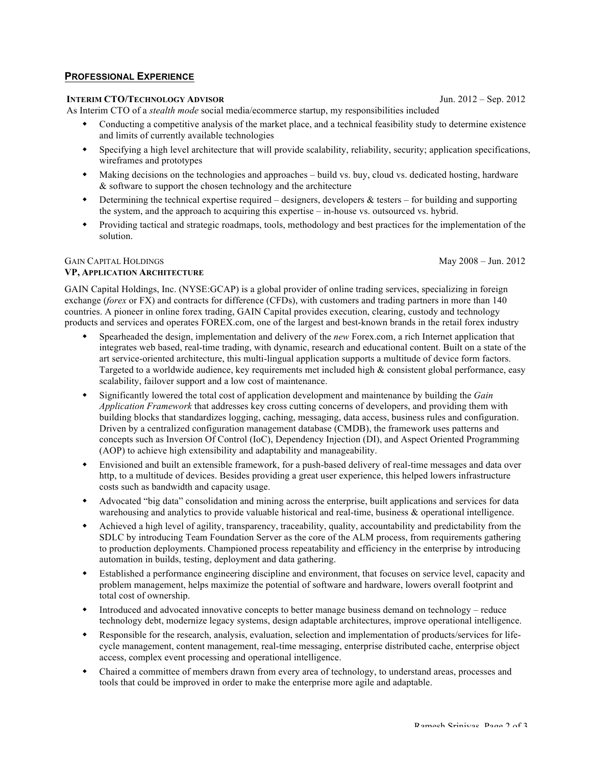# **PROFESSIONAL EXPERIENCE**

# **INTERIM CTO/TECHNOLOGY ADVISOR Jun. 2012 – Sep. 2012**

As Interim CTO of a *stealth mode* social media/ecommerce startup, my responsibilities included

- Conducting a competitive analysis of the market place, and a technical feasibility study to determine existence and limits of currently available technologies
- w Specifying a high level architecture that will provide scalability, reliability, security; application specifications, wireframes and prototypes
- w Making decisions on the technologies and approaches build vs. buy, cloud vs. dedicated hosting, hardware & software to support the chosen technology and the architecture
- $\bullet$  Determining the technical expertise required designers, developers & testers for building and supporting the system, and the approach to acquiring this expertise – in-house vs. outsourced vs. hybrid.
- w Providing tactical and strategic roadmaps, tools, methodology and best practices for the implementation of the solution.

### GAIN CAPITAL HOLDINGS May 2008 – Jun. 2012 **VP, APPLICATION ARCHITECTURE**

GAIN Capital Holdings, Inc. (NYSE:GCAP) is a global provider of online trading services, specializing in foreign exchange (*forex* or FX) and contracts for difference (CFDs), with customers and trading partners in more than 140 countries. A pioneer in online forex trading, GAIN Capital provides execution, clearing, custody and technology products and services and operates FOREX.com, one of the largest and best-known brands in the retail forex industry

- Spearheaded the design, implementation and delivery of the *new* Forex.com, a rich Internet application that integrates web based, real-time trading, with dynamic, research and educational content. Built on a state of the art service-oriented architecture, this multi-lingual application supports a multitude of device form factors. Targeted to a worldwide audience, key requirements met included high & consistent global performance, easy scalability, failover support and a low cost of maintenance.
- w Significantly lowered the total cost of application development and maintenance by building the *Gain Application Framework* that addresses key cross cutting concerns of developers, and providing them with building blocks that standardizes logging, caching, messaging, data access, business rules and configuration. Driven by a centralized configuration management database (CMDB), the framework uses patterns and concepts such as Inversion Of Control (IoC), Dependency Injection (DI), and Aspect Oriented Programming (AOP) to achieve high extensibility and adaptability and manageability.
- w Envisioned and built an extensible framework, for a push-based delivery of real-time messages and data over http, to a multitude of devices. Besides providing a great user experience, this helped lowers infrastructure costs such as bandwidth and capacity usage.
- Advocated "big data" consolidation and mining across the enterprise, built applications and services for data warehousing and analytics to provide valuable historical and real-time, business & operational intelligence.
- w Achieved a high level of agility, transparency, traceability, quality, accountability and predictability from the SDLC by introducing Team Foundation Server as the core of the ALM process, from requirements gathering to production deployments. Championed process repeatability and efficiency in the enterprise by introducing automation in builds, testing, deployment and data gathering.
- w Established a performance engineering discipline and environment, that focuses on service level, capacity and problem management, helps maximize the potential of software and hardware, lowers overall footprint and total cost of ownership.
- w Introduced and advocated innovative concepts to better manage business demand on technology reduce technology debt, modernize legacy systems, design adaptable architectures, improve operational intelligence.
- Responsible for the research, analysis, evaluation, selection and implementation of products/services for lifecycle management, content management, real-time messaging, enterprise distributed cache, enterprise object access, complex event processing and operational intelligence.
- w Chaired a committee of members drawn from every area of technology, to understand areas, processes and tools that could be improved in order to make the enterprise more agile and adaptable.

Ramesh Srinivas, Page 2 of 3